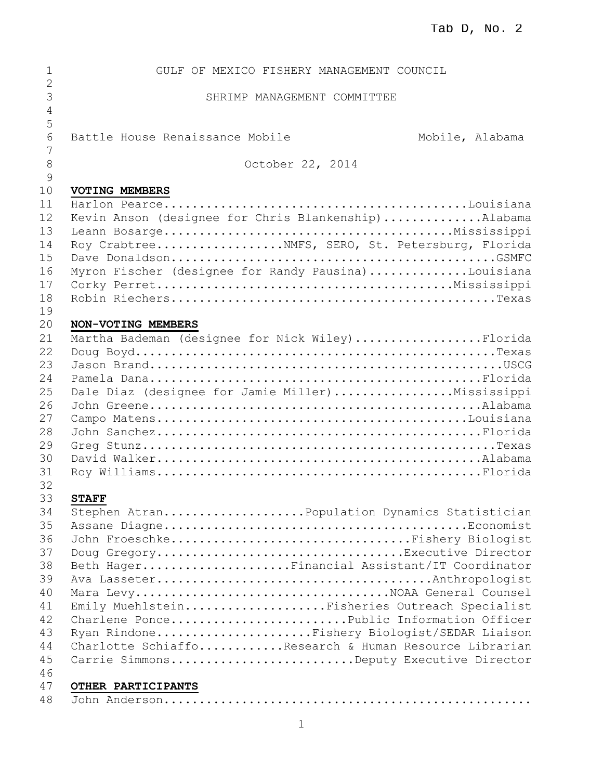| $\mathbf{1}$      | GULF OF MEXICO FISHERY MANAGEMENT COUNCIL             |
|-------------------|-------------------------------------------------------|
| $\mathbf{2}$<br>3 | SHRIMP MANAGEMENT COMMITTEE                           |
| 4<br>5            |                                                       |
| 6<br>7            | Battle House Renaissance Mobile<br>Mobile, Alabama    |
| 8<br>9            | October 22, 2014                                      |
| 10                | VOTING MEMBERS                                        |
| 11<br>12          | Kevin Anson (designee for Chris Blankenship)Alabama   |
| 13                |                                                       |
| 14                | Roy CrabtreeNMFS, SERO, St. Petersburg, Florida       |
| 15                |                                                       |
| 16                | Myron Fischer (designee for Randy Pausina)Louisiana   |
| 17                |                                                       |
| 18<br>19          |                                                       |
| 20                | NON-VOTING MEMBERS                                    |
| 21                | Martha Bademan (designee for Nick Wiley)Florida       |
| 22                |                                                       |
| 23                |                                                       |
| 24                |                                                       |
| 25                | Dale Diaz (designee for Jamie Miller)Mississippi      |
| 26                |                                                       |
| 27                |                                                       |
| 28                |                                                       |
| 29                |                                                       |
| 30                |                                                       |
| 31                |                                                       |
| 32<br>33          | <b>STAFF</b>                                          |
| 34                | Stephen AtranPopulation Dynamics Statistician         |
| 35                |                                                       |
| 36                | John FroeschkeFishery Biologist                       |
| 37                | Doug GregoryExecutive Director                        |
| 38                | Beth HagerFinancial Assistant/IT Coordinator          |
| 39                |                                                       |
| 40                | Mara LevyNOAA General Counsel                         |
| 41                | Emily MuehlsteinFisheries Outreach Specialist         |
| 42                | Charlene PoncePublic Information Officer              |
| 43                | Ryan RindoneFishery Biologist/SEDAR Liaison           |
| 44                | Charlotte SchiaffoResearch & Human Resource Librarian |
| 45                | Carrie SimmonsDeputy Executive Director               |
| 46                |                                                       |
| 47                | OTHER PARTICIPANTS                                    |
| 48                |                                                       |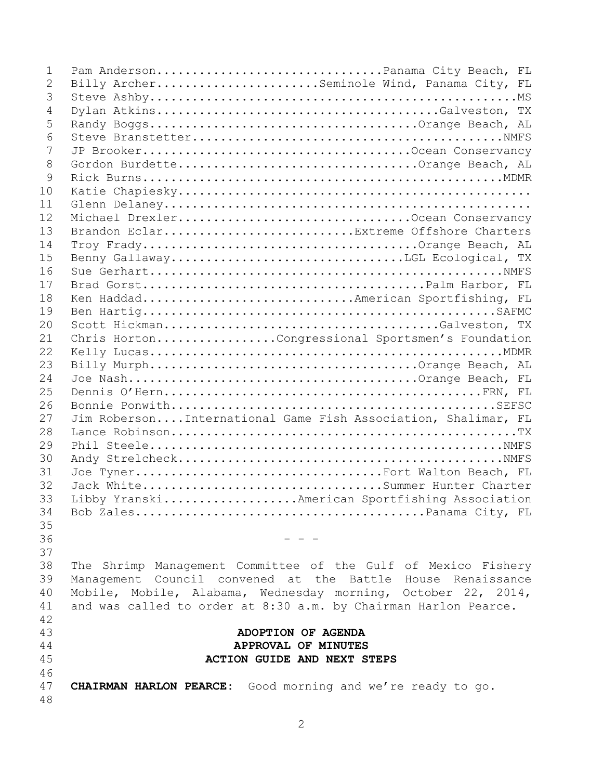| 1  | Pam AndersonPanama City Beach, FL                               |
|----|-----------------------------------------------------------------|
| 2  | Billy ArcherSeminole Wind, Panama City, FL                      |
| 3  |                                                                 |
| 4  |                                                                 |
| 5  |                                                                 |
| 6  |                                                                 |
| 7  |                                                                 |
| 8  |                                                                 |
| 9  |                                                                 |
| 10 |                                                                 |
| 11 |                                                                 |
| 12 |                                                                 |
| 13 | Brandon EclarExtreme Offshore Charters                          |
| 14 |                                                                 |
| 15 |                                                                 |
| 16 |                                                                 |
| 17 |                                                                 |
| 18 |                                                                 |
| 19 |                                                                 |
| 20 |                                                                 |
| 21 |                                                                 |
| 22 | Chris HortonCongressional Sportsmen's Foundation                |
| 23 |                                                                 |
|    |                                                                 |
| 24 |                                                                 |
| 25 |                                                                 |
| 26 |                                                                 |
| 27 | Jim RobersonInternational Game Fish Association, Shalimar, FL   |
| 28 |                                                                 |
| 29 |                                                                 |
| 30 |                                                                 |
| 31 | Joe TynerFort Walton Beach, FL                                  |
| 32 | Jack WhiteSummer Hunter Charter                                 |
| 33 | Libby YranskiAmerican Sportfishing Association                  |
| 34 |                                                                 |
| 35 |                                                                 |
| 36 |                                                                 |
| 37 |                                                                 |
| 38 | The Shrimp Management Committee of the Gulf of Mexico Fishery   |
| 39 | Management Council convened at the Battle House Renaissance     |
| 40 | Mobile, Mobile, Alabama, Wednesday morning, October 22, 2014,   |
| 41 | and was called to order at 8:30 a.m. by Chairman Harlon Pearce. |
| 42 |                                                                 |
| 43 | ADOPTION OF AGENDA                                              |
| 44 | APPROVAL OF MINUTES                                             |
| 45 | <b>ACTION GUIDE AND NEXT STEPS</b>                              |
| 46 |                                                                 |
| 47 | CHAIRMAN HARLON PEARCE: Good morning and we're ready to go.     |
| 48 |                                                                 |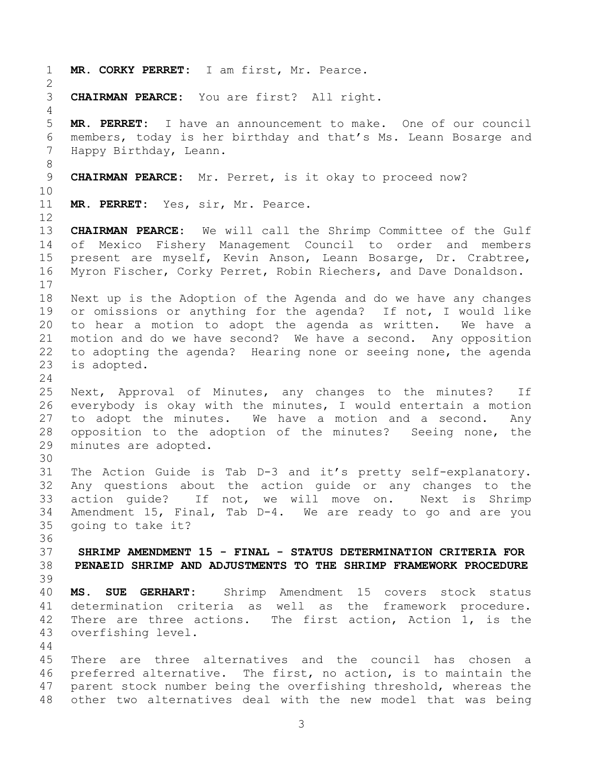**MR. CORKY PERRET:** I am first, Mr. Pearce. **CHAIRMAN PEARCE:** You are first? All right. **MR. PERRET:** I have an announcement to make. One of our council members, today is her birthday and that's Ms. Leann Bosarge and Happy Birthday, Leann. **CHAIRMAN PEARCE:** Mr. Perret, is it okay to proceed now? **MR. PERRET:** Yes, sir, Mr. Pearce. **CHAIRMAN PEARCE:** We will call the Shrimp Committee of the Gulf of Mexico Fishery Management Council to order and members present are myself, Kevin Anson, Leann Bosarge, Dr. Crabtree, Myron Fischer, Corky Perret, Robin Riechers, and Dave Donaldson. Next up is the Adoption of the Agenda and do we have any changes or omissions or anything for the agenda? If not, I would like to hear a motion to adopt the agenda as written. We have a motion and do we have second? We have a second. Any opposition to adopting the agenda? Hearing none or seeing none, the agenda is adopted. Next, Approval of Minutes, any changes to the minutes? If everybody is okay with the minutes, I would entertain a motion to adopt the minutes. We have a motion and a second. Any opposition to the adoption of the minutes? Seeing none, the minutes are adopted. The Action Guide is Tab D-3 and it's pretty self-explanatory. Any questions about the action guide or any changes to the action guide? If not, we will move on. Next is Shrimp Amendment 15, Final, Tab D-4. We are ready to go and are you going to take it? **SHRIMP AMENDMENT 15 - FINAL - STATUS DETERMINATION CRITERIA FOR PENAEID SHRIMP AND ADJUSTMENTS TO THE SHRIMP FRAMEWORK PROCEDURE MS. SUE GERHART:** Shrimp Amendment 15 covers stock status determination criteria as well as the framework procedure. 42 There are three actions. The first action, Action 1, is the overfishing level. There are three alternatives and the council has chosen a preferred alternative. The first, no action, is to maintain the parent stock number being the overfishing threshold, whereas the other two alternatives deal with the new model that was being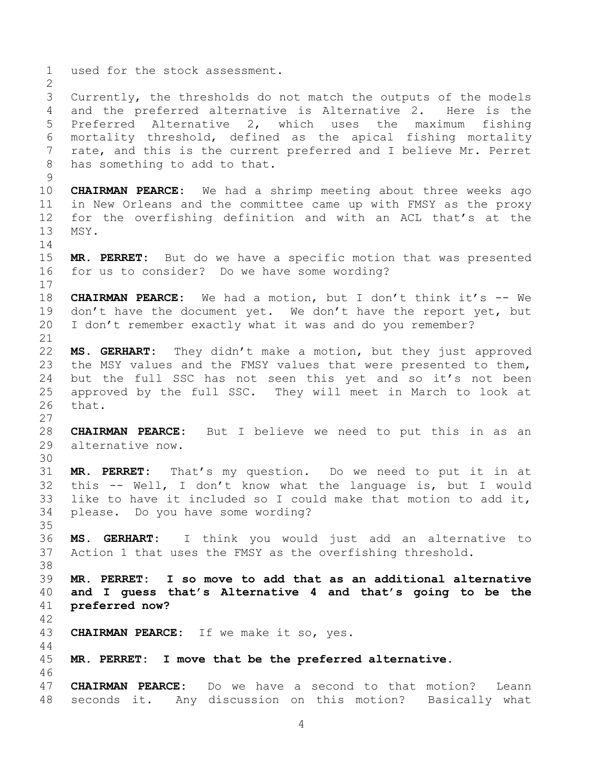used for the stock assessment. Currently, the thresholds do not match the outputs of the models and the preferred alternative is Alternative 2. Here is the Preferred Alternative 2, which uses the maximum fishing mortality threshold, defined as the apical fishing mortality rate, and this is the current preferred and I believe Mr. Perret has something to add to that. **CHAIRMAN PEARCE:** We had a shrimp meeting about three weeks ago in New Orleans and the committee came up with FMSY as the proxy for the overfishing definition and with an ACL that's at the MSY. **MR. PERRET:** But do we have a specific motion that was presented for us to consider? Do we have some wording? **CHAIRMAN PEARCE:** We had a motion, but I don't think it's -- We 19 don't have the document yet. We don't have the report yet, but I don't remember exactly what it was and do you remember? **MS. GERHART:** They didn't make a motion, but they just approved the MSY values and the FMSY values that were presented to them, but the full SSC has not seen this yet and so it's not been approved by the full SSC. They will meet in March to look at that. **CHAIRMAN PEARCE:** But I believe we need to put this in as an alternative now. **MR. PERRET:** That's my question. Do we need to put it in at this -- Well, I don't know what the language is, but I would like to have it included so I could make that motion to add it, please. Do you have some wording? **MS. GERHART:** I think you would just add an alternative to Action 1 that uses the FMSY as the overfishing threshold. **MR. PERRET: I so move to add that as an additional alternative and I guess that's Alternative 4 and that's going to be the preferred now? CHAIRMAN PEARCE:** If we make it so, yes. **MR. PERRET: I move that be the preferred alternative. CHAIRMAN PEARCE:** Do we have a second to that motion? Leann seconds it. Any discussion on this motion? Basically what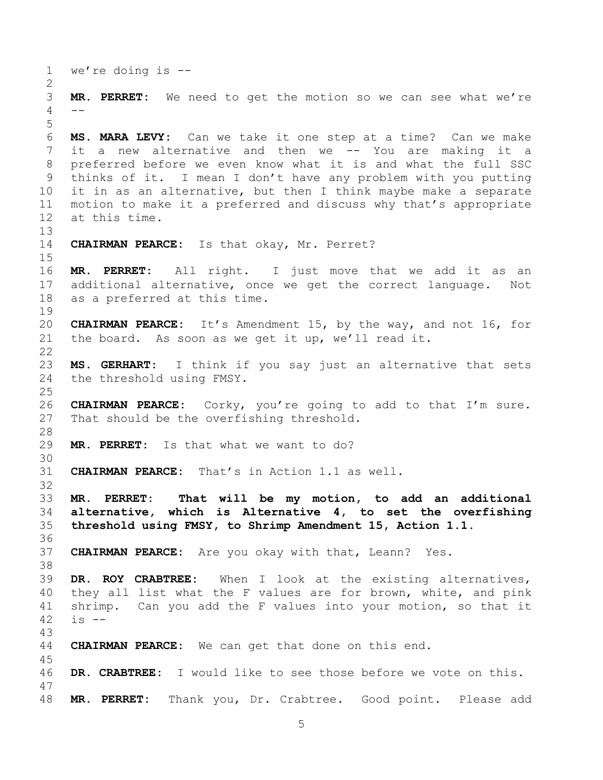we're doing is --

 **MR. PERRET:** We need to get the motion so we can see what we're --

 **MS. MARA LEVY:** Can we take it one step at a time? Can we make it a new alternative and then we -- You are making it a preferred before we even know what it is and what the full SSC thinks of it. I mean I don't have any problem with you putting it in as an alternative, but then I think maybe make a separate motion to make it a preferred and discuss why that's appropriate at this time.

**CHAIRMAN PEARCE:** Is that okay, Mr. Perret?

 **MR. PERRET:** All right. I just move that we add it as an additional alternative, once we get the correct language. Not as a preferred at this time. 

 **CHAIRMAN PEARCE:** It's Amendment 15, by the way, and not 16, for the board. As soon as we get it up, we'll read it.

 **MS. GERHART:** I think if you say just an alternative that sets the threshold using FMSY.

 **CHAIRMAN PEARCE:** Corky, you're going to add to that I'm sure. That should be the overfishing threshold.

**MR. PERRET:** Is that what we want to do?

**CHAIRMAN PEARCE:** That's in Action 1.1 as well.

 **MR. PERRET: That will be my motion, to add an additional alternative, which is Alternative 4, to set the overfishing threshold using FMSY, to Shrimp Amendment 15, Action 1.1.**

**CHAIRMAN PEARCE:** Are you okay with that, Leann? Yes.

 **DR. ROY CRABTREE:** When I look at the existing alternatives, they all list what the F values are for brown, white, and pink shrimp. Can you add the F values into your motion, so that it is  $-$ 

**CHAIRMAN PEARCE:** We can get that done on this end.

**DR. CRABTREE:** I would like to see those before we vote on this.

**MR. PERRET:** Thank you, Dr. Crabtree. Good point. Please add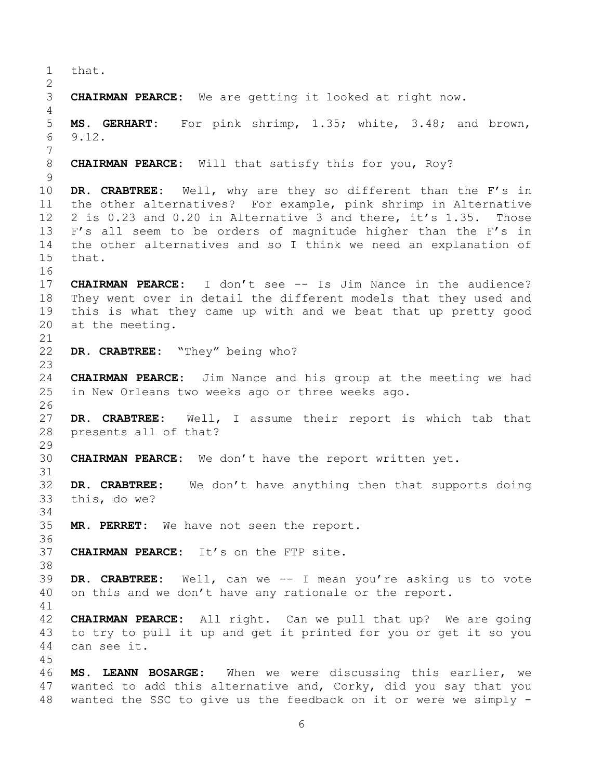that. **CHAIRMAN PEARCE:** We are getting it looked at right now. **MS. GERHART:** For pink shrimp, 1.35; white, 3.48; and brown, 9.12. **CHAIRMAN PEARCE:** Will that satisfy this for you, Roy? **DR. CRABTREE:** Well, why are they so different than the F's in the other alternatives? For example, pink shrimp in Alternative 2 is 0.23 and 0.20 in Alternative 3 and there, it's 1.35. Those F's all seem to be orders of magnitude higher than the F's in the other alternatives and so I think we need an explanation of that. **CHAIRMAN PEARCE:** I don't see -- Is Jim Nance in the audience? They went over in detail the different models that they used and this is what they came up with and we beat that up pretty good at the meeting. **DR. CRABTREE:** "They" being who? **CHAIRMAN PEARCE:** Jim Nance and his group at the meeting we had in New Orleans two weeks ago or three weeks ago. **DR. CRABTREE:** Well, I assume their report is which tab that presents all of that? **CHAIRMAN PEARCE:** We don't have the report written yet. **DR. CRABTREE:** We don't have anything then that supports doing this, do we? **MR. PERRET:** We have not seen the report. **CHAIRMAN PEARCE:** It's on the FTP site. **DR. CRABTREE:** Well, can we -- I mean you're asking us to vote on this and we don't have any rationale or the report. **CHAIRMAN PEARCE:** All right. Can we pull that up? We are going to try to pull it up and get it printed for you or get it so you can see it. **MS. LEANN BOSARGE:** When we were discussing this earlier, we wanted to add this alternative and, Corky, did you say that you wanted the SSC to give us the feedback on it or were we simply -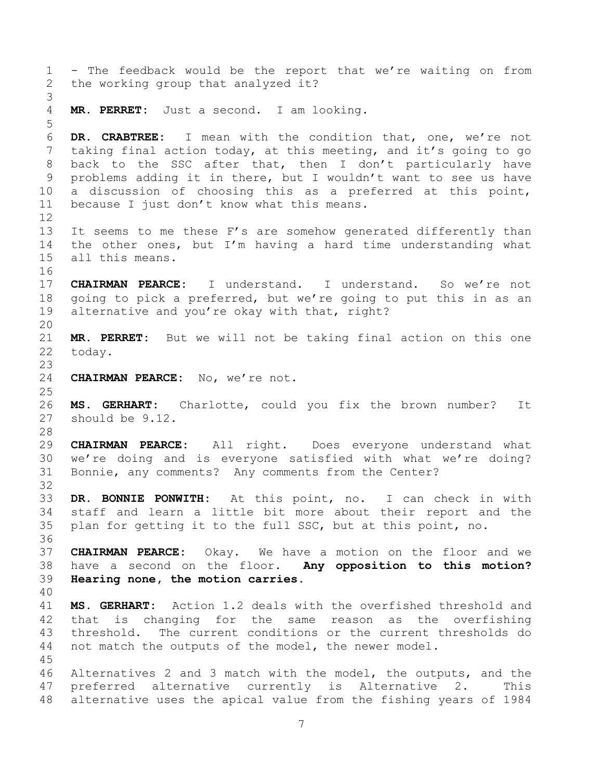- The feedback would be the report that we're waiting on from the working group that analyzed it? **MR. PERRET:** Just a second. I am looking. **DR. CRABTREE:** I mean with the condition that, one, we're not taking final action today, at this meeting, and it's going to go back to the SSC after that, then I don't particularly have problems adding it in there, but I wouldn't want to see us have a discussion of choosing this as a preferred at this point, because I just don't know what this means. It seems to me these F's are somehow generated differently than the other ones, but I'm having a hard time understanding what all this means. **CHAIRMAN PEARCE:** I understand. I understand. So we're not going to pick a preferred, but we're going to put this in as an alternative and you're okay with that, right? **MR. PERRET:** But we will not be taking final action on this one today. **CHAIRMAN PEARCE:** No, we're not. **MS. GERHART:** Charlotte, could you fix the brown number? It should be 9.12. **CHAIRMAN PEARCE:** All right. Does everyone understand what we're doing and is everyone satisfied with what we're doing? Bonnie, any comments? Any comments from the Center? **DR. BONNIE PONWITH:** At this point, no. I can check in with staff and learn a little bit more about their report and the plan for getting it to the full SSC, but at this point, no. **CHAIRMAN PEARCE:** Okay. We have a motion on the floor and we have a second on the floor. **Any opposition to this motion? Hearing none, the motion carries. MS. GERHART:** Action 1.2 deals with the overfished threshold and that is changing for the same reason as the overfishing threshold. The current conditions or the current thresholds do not match the outputs of the model, the newer model. Alternatives 2 and 3 match with the model, the outputs, and the preferred alternative currently is Alternative 2. This alternative uses the apical value from the fishing years of 1984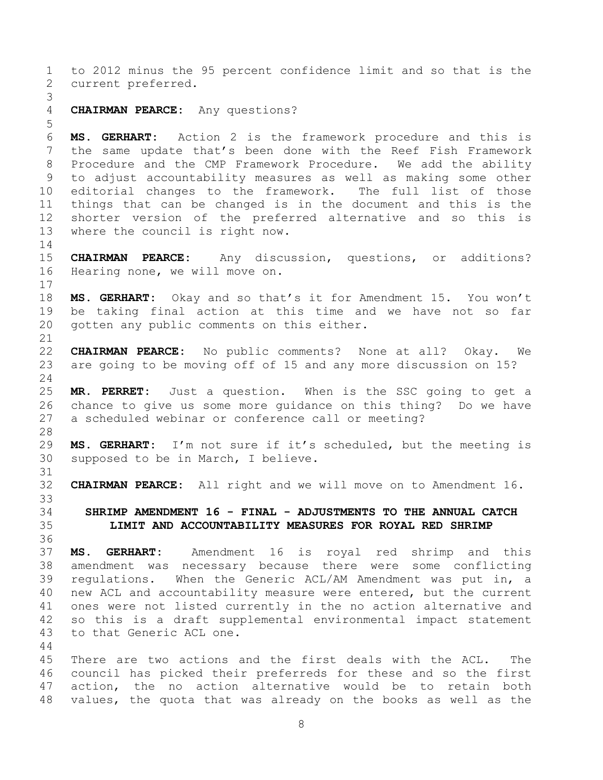to 2012 minus the 95 percent confidence limit and so that is the current preferred. **CHAIRMAN PEARCE:** Any questions? **MS. GERHART:** Action 2 is the framework procedure and this is the same update that's been done with the Reef Fish Framework Procedure and the CMP Framework Procedure. We add the ability to adjust accountability measures as well as making some other editorial changes to the framework. The full list of those things that can be changed is in the document and this is the shorter version of the preferred alternative and so this is where the council is right now. **CHAIRMAN PEARCE:** Any discussion, questions, or additions? Hearing none, we will move on. **MS. GERHART:** Okay and so that's it for Amendment 15. You won't be taking final action at this time and we have not so far gotten any public comments on this either. **CHAIRMAN PEARCE:** No public comments? None at all? Okay. We are going to be moving off of 15 and any more discussion on 15? **MR. PERRET:** Just a question. When is the SSC going to get a chance to give us some more guidance on this thing? Do we have a scheduled webinar or conference call or meeting? **MS. GERHART:** I'm not sure if it's scheduled, but the meeting is supposed to be in March, I believe. **CHAIRMAN PEARCE:** All right and we will move on to Amendment 16. **SHRIMP AMENDMENT 16 - FINAL - ADJUSTMENTS TO THE ANNUAL CATCH LIMIT AND ACCOUNTABILITY MEASURES FOR ROYAL RED SHRIMP MS. GERHART:** Amendment 16 is royal red shrimp and this amendment was necessary because there were some conflicting regulations. When the Generic ACL/AM Amendment was put in, a new ACL and accountability measure were entered, but the current ones were not listed currently in the no action alternative and so this is a draft supplemental environmental impact statement to that Generic ACL one. There are two actions and the first deals with the ACL. The council has picked their preferreds for these and so the first action, the no action alternative would be to retain both

values, the quota that was already on the books as well as the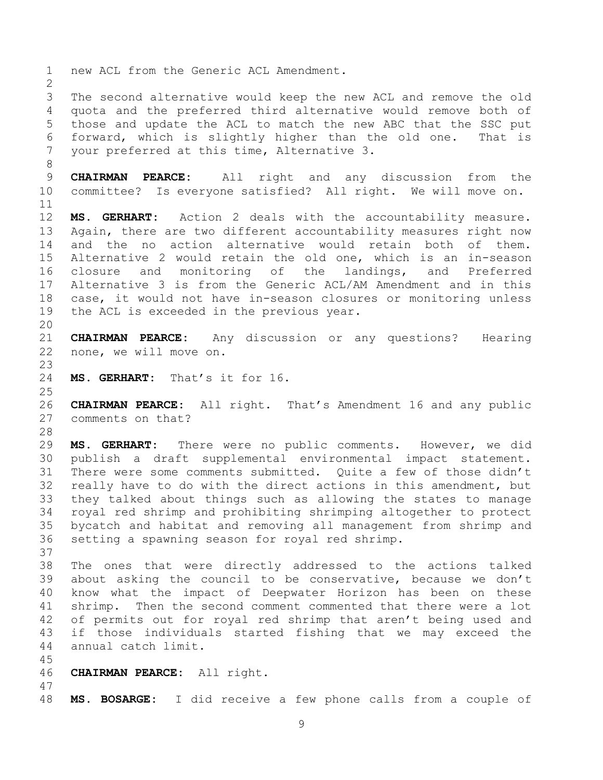new ACL from the Generic ACL Amendment. The second alternative would keep the new ACL and remove the old quota and the preferred third alternative would remove both of those and update the ACL to match the new ABC that the SSC put forward, which is slightly higher than the old one. That is your preferred at this time, Alternative 3. **CHAIRMAN PEARCE:** All right and any discussion from the committee? Is everyone satisfied? All right. We will move on. **MS. GERHART:** Action 2 deals with the accountability measure. Again, there are two different accountability measures right now and the no action alternative would retain both of them. Alternative 2 would retain the old one, which is an in-season closure and monitoring of the landings, and Preferred Alternative 3 is from the Generic ACL/AM Amendment and in this case, it would not have in-season closures or monitoring unless the ACL is exceeded in the previous year. **CHAIRMAN PEARCE:** Any discussion or any questions? Hearing none, we will move on. **MS. GERHART:** That's it for 16. **CHAIRMAN PEARCE:** All right. That's Amendment 16 and any public comments on that? **MS. GERHART:** There were no public comments. However, we did publish a draft supplemental environmental impact statement. There were some comments submitted. Quite a few of those didn't really have to do with the direct actions in this amendment, but they talked about things such as allowing the states to manage royal red shrimp and prohibiting shrimping altogether to protect bycatch and habitat and removing all management from shrimp and setting a spawning season for royal red shrimp. The ones that were directly addressed to the actions talked about asking the council to be conservative, because we don't know what the impact of Deepwater Horizon has been on these shrimp. Then the second comment commented that there were a lot of permits out for royal red shrimp that aren't being used and if those individuals started fishing that we may exceed the annual catch limit. **CHAIRMAN PEARCE:** All right. **MS. BOSARGE:** I did receive a few phone calls from a couple of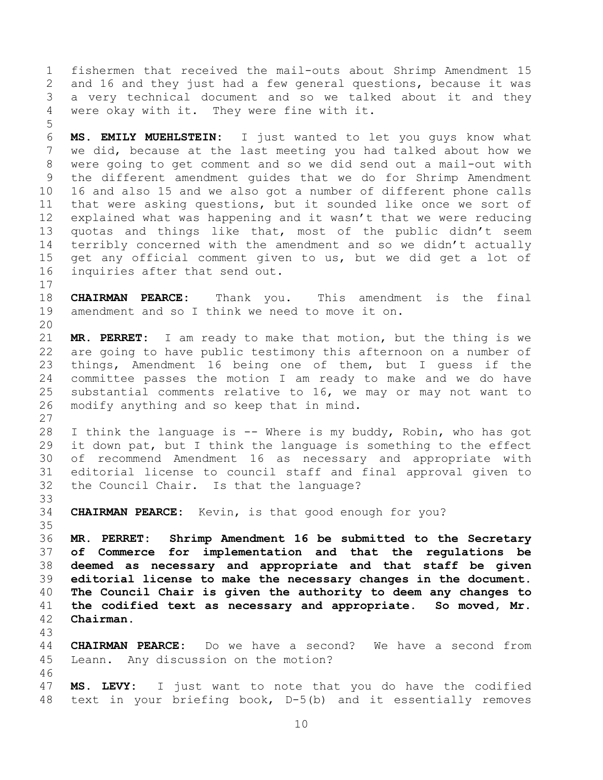fishermen that received the mail-outs about Shrimp Amendment 15 and 16 and they just had a few general questions, because it was a very technical document and so we talked about it and they were okay with it. They were fine with it.

 **MS. EMILY MUEHLSTEIN:** I just wanted to let you guys know what we did, because at the last meeting you had talked about how we were going to get comment and so we did send out a mail-out with the different amendment guides that we do for Shrimp Amendment 16 and also 15 and we also got a number of different phone calls that were asking questions, but it sounded like once we sort of explained what was happening and it wasn't that we were reducing quotas and things like that, most of the public didn't seem terribly concerned with the amendment and so we didn't actually get any official comment given to us, but we did get a lot of inquiries after that send out.

 **CHAIRMAN PEARCE:** Thank you. This amendment is the final amendment and so I think we need to move it on.

 **MR. PERRET:** I am ready to make that motion, but the thing is we are going to have public testimony this afternoon on a number of things, Amendment 16 being one of them, but I guess if the committee passes the motion I am ready to make and we do have substantial comments relative to 16, we may or may not want to modify anything and so keep that in mind. 

 I think the language is -- Where is my buddy, Robin, who has got it down pat, but I think the language is something to the effect of recommend Amendment 16 as necessary and appropriate with editorial license to council staff and final approval given to the Council Chair. Is that the language?

**CHAIRMAN PEARCE:** Kevin, is that good enough for you?

 **MR. PERRET: Shrimp Amendment 16 be submitted to the Secretary of Commerce for implementation and that the regulations be deemed as necessary and appropriate and that staff be given editorial license to make the necessary changes in the document. The Council Chair is given the authority to deem any changes to the codified text as necessary and appropriate. So moved, Mr. Chairman.** 

 **CHAIRMAN PEARCE:** Do we have a second? We have a second from Leann. Any discussion on the motion? 

 **MS. LEVY:** I just want to note that you do have the codified text in your briefing book, D-5(b) and it essentially removes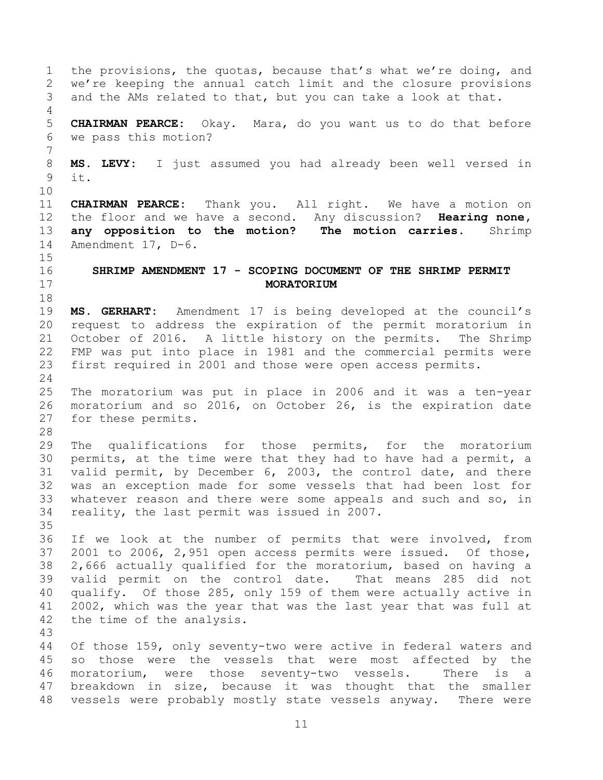the provisions, the quotas, because that's what we're doing, and we're keeping the annual catch limit and the closure provisions and the AMs related to that, but you can take a look at that. **CHAIRMAN PEARCE:** Okay. Mara, do you want us to do that before we pass this motion? **MS. LEVY:** I just assumed you had already been well versed in it. **CHAIRMAN PEARCE:** Thank you. All right. We have a motion on the floor and we have a second. Any discussion? **Hearing none, any opposition to the motion? The motion carries.** Shrimp Amendment 17, D-6. **SHRIMP AMENDMENT 17 - SCOPING DOCUMENT OF THE SHRIMP PERMIT MORATORIUM MS. GERHART:** Amendment 17 is being developed at the council's request to address the expiration of the permit moratorium in October of 2016. A little history on the permits. The Shrimp FMP was put into place in 1981 and the commercial permits were first required in 2001 and those were open access permits. The moratorium was put in place in 2006 and it was a ten-year moratorium and so 2016, on October 26, is the expiration date for these permits. The qualifications for those permits, for the moratorium permits, at the time were that they had to have had a permit, a valid permit, by December 6, 2003, the control date, and there was an exception made for some vessels that had been lost for whatever reason and there were some appeals and such and so, in reality, the last permit was issued in 2007. If we look at the number of permits that were involved, from 2001 to 2006, 2,951 open access permits were issued. Of those, 2,666 actually qualified for the moratorium, based on having a valid permit on the control date. That means 285 did not qualify. Of those 285, only 159 of them were actually active in 2002, which was the year that was the last year that was full at the time of the analysis. Of those 159, only seventy-two were active in federal waters and so those were the vessels that were most affected by the moratorium, were those seventy-two vessels. There is a breakdown in size, because it was thought that the smaller vessels were probably mostly state vessels anyway. There were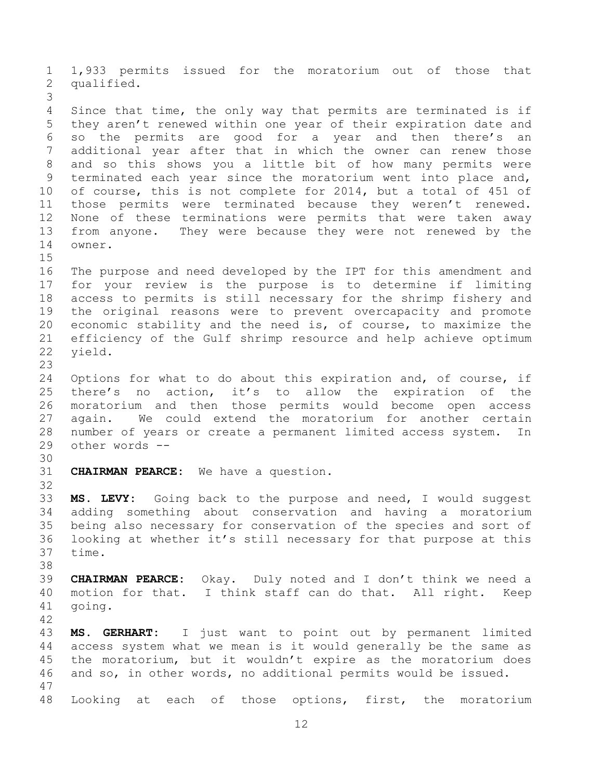1,933 permits issued for the moratorium out of those that qualified. Since that time, the only way that permits are terminated is if they aren't renewed within one year of their expiration date and so the permits are good for a year and then there's an additional year after that in which the owner can renew those and so this shows you a little bit of how many permits were terminated each year since the moratorium went into place and, of course, this is not complete for 2014, but a total of 451 of those permits were terminated because they weren't renewed. None of these terminations were permits that were taken away from anyone. They were because they were not renewed by the owner. The purpose and need developed by the IPT for this amendment and for your review is the purpose is to determine if limiting access to permits is still necessary for the shrimp fishery and the original reasons were to prevent overcapacity and promote economic stability and the need is, of course, to maximize the efficiency of the Gulf shrimp resource and help achieve optimum yield. Options for what to do about this expiration and, of course, if there's no action, it's to allow the expiration of the moratorium and then those permits would become open access again. We could extend the moratorium for another certain number of years or create a permanent limited access system. In other words -- **CHAIRMAN PEARCE:** We have a question. **MS. LEVY:** Going back to the purpose and need, I would suggest adding something about conservation and having a moratorium being also necessary for conservation of the species and sort of looking at whether it's still necessary for that purpose at this time. **CHAIRMAN PEARCE:** Okay. Duly noted and I don't think we need a motion for that. I think staff can do that. All right. Keep going. **MS. GERHART:** I just want to point out by permanent limited access system what we mean is it would generally be the same as the moratorium, but it wouldn't expire as the moratorium does and so, in other words, no additional permits would be issued. Looking at each of those options, first, the moratorium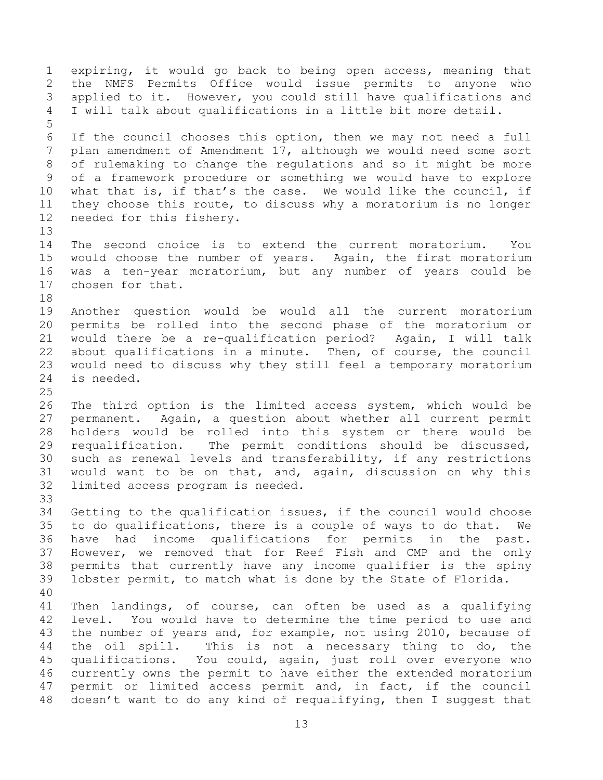expiring, it would go back to being open access, meaning that the NMFS Permits Office would issue permits to anyone who applied to it. However, you could still have qualifications and I will talk about qualifications in a little bit more detail. If the council chooses this option, then we may not need a full plan amendment of Amendment 17, although we would need some sort of rulemaking to change the regulations and so it might be more of a framework procedure or something we would have to explore what that is, if that's the case. We would like the council, if they choose this route, to discuss why a moratorium is no longer needed for this fishery. The second choice is to extend the current moratorium. You would choose the number of years. Again, the first moratorium was a ten-year moratorium, but any number of years could be chosen for that. Another question would be would all the current moratorium permits be rolled into the second phase of the moratorium or would there be a re-qualification period? Again, I will talk about qualifications in a minute. Then, of course, the council would need to discuss why they still feel a temporary moratorium is needed. The third option is the limited access system, which would be permanent. Again, a question about whether all current permit holders would be rolled into this system or there would be requalification. The permit conditions should be discussed, such as renewal levels and transferability, if any restrictions would want to be on that, and, again, discussion on why this limited access program is needed. Getting to the qualification issues, if the council would choose to do qualifications, there is a couple of ways to do that. We have had income qualifications for permits in the past. However, we removed that for Reef Fish and CMP and the only permits that currently have any income qualifier is the spiny lobster permit, to match what is done by the State of Florida. Then landings, of course, can often be used as a qualifying level. You would have to determine the time period to use and the number of years and, for example, not using 2010, because of the oil spill. This is not a necessary thing to do, the qualifications. You could, again, just roll over everyone who currently owns the permit to have either the extended moratorium permit or limited access permit and, in fact, if the council doesn't want to do any kind of requalifying, then I suggest that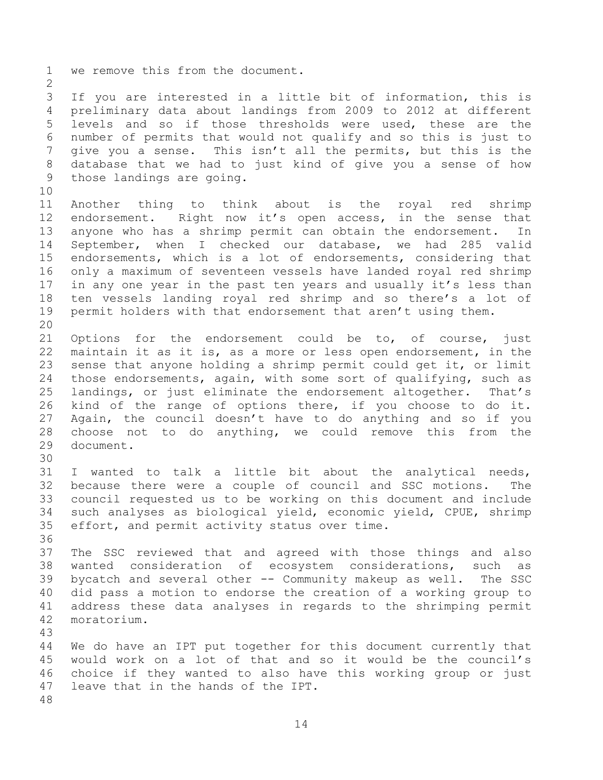we remove this from the document. If you are interested in a little bit of information, this is preliminary data about landings from 2009 to 2012 at different levels and so if those thresholds were used, these are the number of permits that would not qualify and so this is just to give you a sense. This isn't all the permits, but this is the database that we had to just kind of give you a sense of how those landings are going. Another thing to think about is the royal red shrimp 12 endorsement. Right now it's open access, in the sense that anyone who has a shrimp permit can obtain the endorsement. In September, when I checked our database, we had 285 valid endorsements, which is a lot of endorsements, considering that only a maximum of seventeen vessels have landed royal red shrimp 17 in any one year in the past ten years and usually it's less than ten vessels landing royal red shrimp and so there's a lot of permit holders with that endorsement that aren't using them. Options for the endorsement could be to, of course, just maintain it as it is, as a more or less open endorsement, in the sense that anyone holding a shrimp permit could get it, or limit those endorsements, again, with some sort of qualifying, such as landings, or just eliminate the endorsement altogether. That's kind of the range of options there, if you choose to do it. Again, the council doesn't have to do anything and so if you choose not to do anything, we could remove this from the document. I wanted to talk a little bit about the analytical needs, because there were a couple of council and SSC motions. The council requested us to be working on this document and include such analyses as biological yield, economic yield, CPUE, shrimp effort, and permit activity status over time. The SSC reviewed that and agreed with those things and also wanted consideration of ecosystem considerations, such as bycatch and several other -- Community makeup as well. The SSC did pass a motion to endorse the creation of a working group to address these data analyses in regards to the shrimping permit moratorium. We do have an IPT put together for this document currently that would work on a lot of that and so it would be the council's choice if they wanted to also have this working group or just leave that in the hands of the IPT.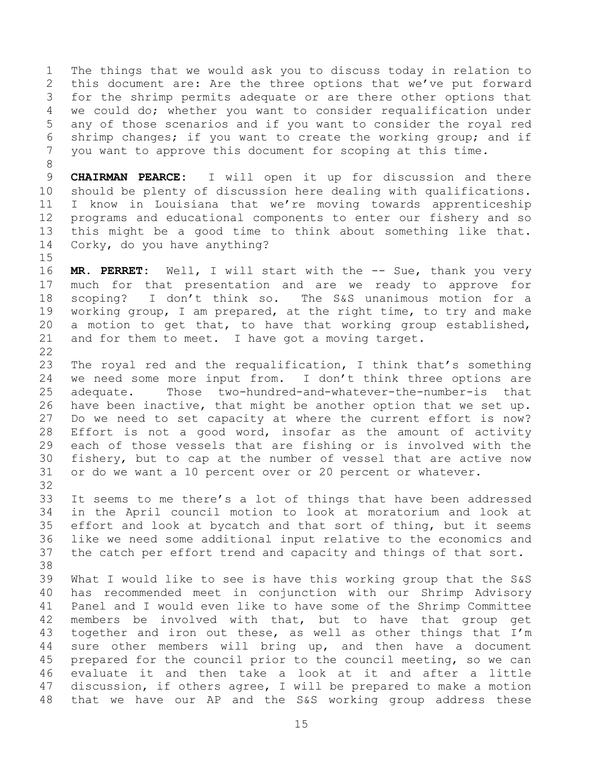The things that we would ask you to discuss today in relation to this document are: Are the three options that we've put forward for the shrimp permits adequate or are there other options that we could do; whether you want to consider requalification under any of those scenarios and if you want to consider the royal red shrimp changes; if you want to create the working group; and if you want to approve this document for scoping at this time.

 **CHAIRMAN PEARCE:** I will open it up for discussion and there should be plenty of discussion here dealing with qualifications. I know in Louisiana that we're moving towards apprenticeship programs and educational components to enter our fishery and so this might be a good time to think about something like that. Corky, do you have anything?

 **MR. PERRET:** Well, I will start with the -- Sue, thank you very much for that presentation and are we ready to approve for scoping? I don't think so. The S&S unanimous motion for a working group, I am prepared, at the right time, to try and make a motion to get that, to have that working group established, and for them to meet. I have got a moving target. 

 The royal red and the requalification, I think that's something we need some more input from. I don't think three options are adequate. Those two-hundred-and-whatever-the-number-is that have been inactive, that might be another option that we set up. Do we need to set capacity at where the current effort is now? Effort is not a good word, insofar as the amount of activity each of those vessels that are fishing or is involved with the fishery, but to cap at the number of vessel that are active now or do we want a 10 percent over or 20 percent or whatever.

 It seems to me there's a lot of things that have been addressed in the April council motion to look at moratorium and look at effort and look at bycatch and that sort of thing, but it seems like we need some additional input relative to the economics and the catch per effort trend and capacity and things of that sort. 

 What I would like to see is have this working group that the S&S has recommended meet in conjunction with our Shrimp Advisory Panel and I would even like to have some of the Shrimp Committee members be involved with that, but to have that group get together and iron out these, as well as other things that I'm sure other members will bring up, and then have a document prepared for the council prior to the council meeting, so we can evaluate it and then take a look at it and after a little discussion, if others agree, I will be prepared to make a motion that we have our AP and the S&S working group address these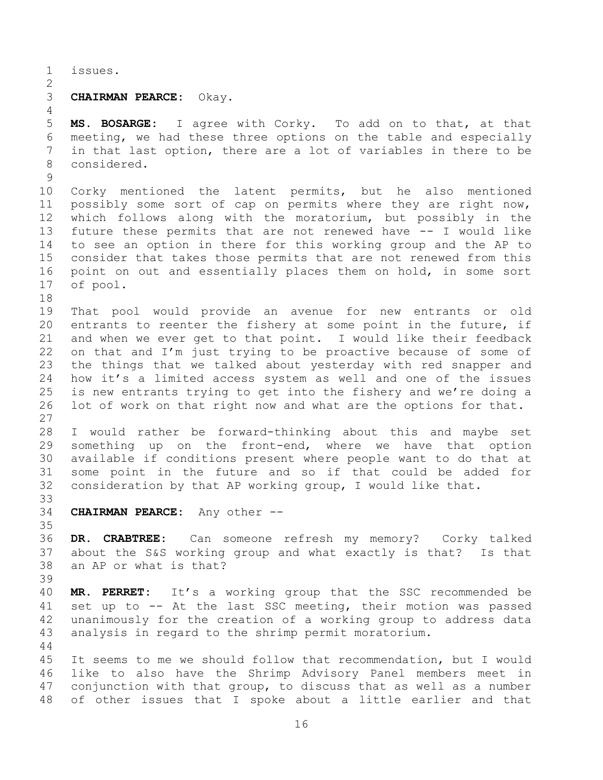issues.

## **CHAIRMAN PEARCE:** Okay.

 **MS. BOSARGE:** I agree with Corky. To add on to that, at that meeting, we had these three options on the table and especially in that last option, there are a lot of variables in there to be considered.

 Corky mentioned the latent permits, but he also mentioned possibly some sort of cap on permits where they are right now, which follows along with the moratorium, but possibly in the future these permits that are not renewed have -- I would like to see an option in there for this working group and the AP to consider that takes those permits that are not renewed from this point on out and essentially places them on hold, in some sort of pool.

 That pool would provide an avenue for new entrants or old entrants to reenter the fishery at some point in the future, if and when we ever get to that point. I would like their feedback on that and I'm just trying to be proactive because of some of the things that we talked about yesterday with red snapper and how it's a limited access system as well and one of the issues is new entrants trying to get into the fishery and we're doing a lot of work on that right now and what are the options for that. 

 I would rather be forward-thinking about this and maybe set something up on the front-end, where we have that option available if conditions present where people want to do that at some point in the future and so if that could be added for consideration by that AP working group, I would like that. 

**CHAIRMAN PEARCE:** Any other --

 **DR. CRABTREE:** Can someone refresh my memory? Corky talked about the S&S working group and what exactly is that? Is that an AP or what is that? 

 **MR. PERRET:** It's a working group that the SSC recommended be set up to -- At the last SSC meeting, their motion was passed unanimously for the creation of a working group to address data analysis in regard to the shrimp permit moratorium. 

 It seems to me we should follow that recommendation, but I would like to also have the Shrimp Advisory Panel members meet in conjunction with that group, to discuss that as well as a number of other issues that I spoke about a little earlier and that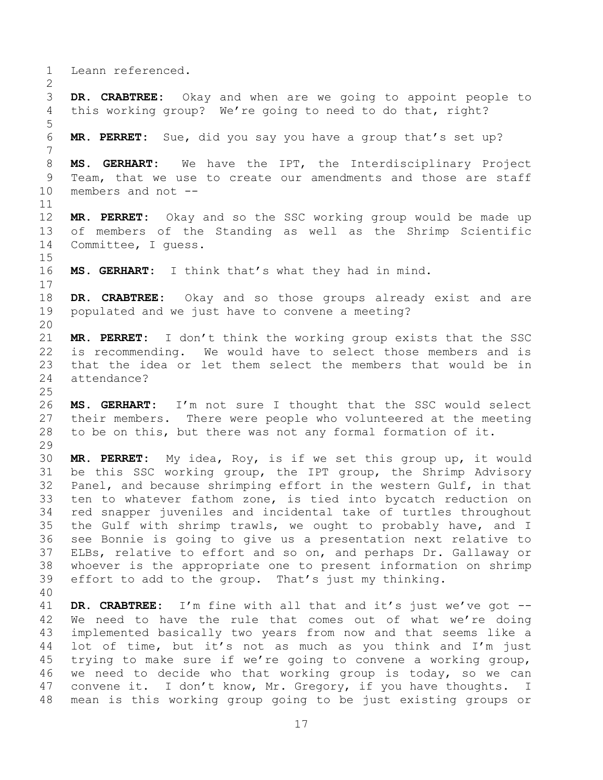Leann referenced.

 **DR. CRABTREE:** Okay and when are we going to appoint people to this working group? We're going to need to do that, right?

**MR. PERRET:** Sue, did you say you have a group that's set up?

 **MS. GERHART:** We have the IPT, the Interdisciplinary Project Team, that we use to create our amendments and those are staff members and not --

 **MR. PERRET:** Okay and so the SSC working group would be made up of members of the Standing as well as the Shrimp Scientific Committee, I guess.

**MS. GERHART:** I think that's what they had in mind.

 **DR. CRABTREE:** Okay and so those groups already exist and are populated and we just have to convene a meeting?

 **MR. PERRET:** I don't think the working group exists that the SSC is recommending. We would have to select those members and is that the idea or let them select the members that would be in attendance?

 **MS. GERHART:** I'm not sure I thought that the SSC would select their members. There were people who volunteered at the meeting to be on this, but there was not any formal formation of it. 

 **MR. PERRET:** My idea, Roy, is if we set this group up, it would be this SSC working group, the IPT group, the Shrimp Advisory Panel, and because shrimping effort in the western Gulf, in that ten to whatever fathom zone, is tied into bycatch reduction on red snapper juveniles and incidental take of turtles throughout the Gulf with shrimp trawls, we ought to probably have, and I see Bonnie is going to give us a presentation next relative to ELBs, relative to effort and so on, and perhaps Dr. Gallaway or whoever is the appropriate one to present information on shrimp effort to add to the group. That's just my thinking.

 **DR. CRABTREE:** I'm fine with all that and it's just we've got -- We need to have the rule that comes out of what we're doing implemented basically two years from now and that seems like a lot of time, but it's not as much as you think and I'm just trying to make sure if we're going to convene a working group, we need to decide who that working group is today, so we can convene it. I don't know, Mr. Gregory, if you have thoughts. I mean is this working group going to be just existing groups or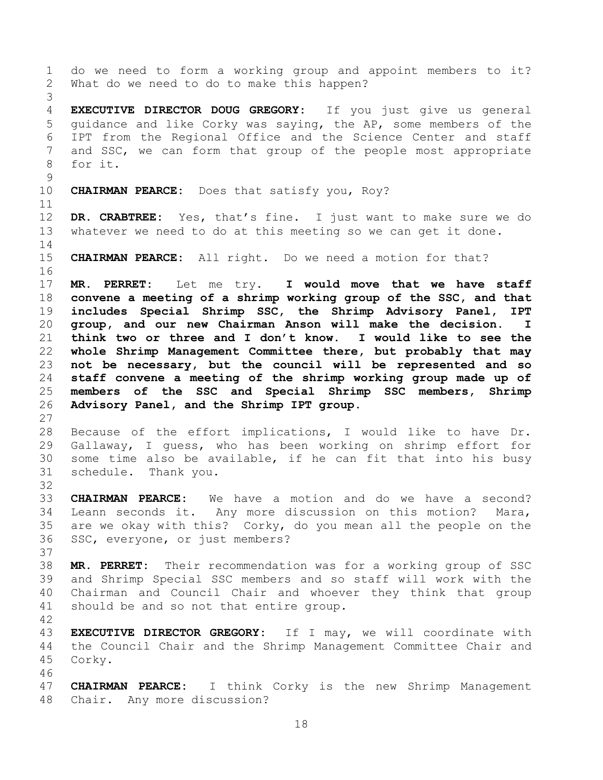do we need to form a working group and appoint members to it? What do we need to do to make this happen? **EXECUTIVE DIRECTOR DOUG GREGORY:** If you just give us general guidance and like Corky was saying, the AP, some members of the IPT from the Regional Office and the Science Center and staff and SSC, we can form that group of the people most appropriate for it. **CHAIRMAN PEARCE:** Does that satisfy you, Roy? **DR. CRABTREE:** Yes, that's fine. I just want to make sure we do whatever we need to do at this meeting so we can get it done. **CHAIRMAN PEARCE:** All right. Do we need a motion for that? **MR. PERRET:** Let me try. **I would move that we have staff convene a meeting of a shrimp working group of the SSC, and that includes Special Shrimp SSC, the Shrimp Advisory Panel, IPT group, and our new Chairman Anson will make the decision. I think two or three and I don't know. I would like to see the whole Shrimp Management Committee there, but probably that may not be necessary, but the council will be represented and so staff convene a meeting of the shrimp working group made up of members of the SSC and Special Shrimp SSC members, Shrimp Advisory Panel, and the Shrimp IPT group.** Because of the effort implications, I would like to have Dr. Gallaway, I guess, who has been working on shrimp effort for some time also be available, if he can fit that into his busy schedule. Thank you. **CHAIRMAN PEARCE:** We have a motion and do we have a second? Leann seconds it. Any more discussion on this motion? Mara, are we okay with this? Corky, do you mean all the people on the SSC, everyone, or just members? **MR. PERRET:** Their recommendation was for a working group of SSC and Shrimp Special SSC members and so staff will work with the Chairman and Council Chair and whoever they think that group should be and so not that entire group. **EXECUTIVE DIRECTOR GREGORY:** If I may, we will coordinate with the Council Chair and the Shrimp Management Committee Chair and Corky. **CHAIRMAN PEARCE:** I think Corky is the new Shrimp Management Chair. Any more discussion?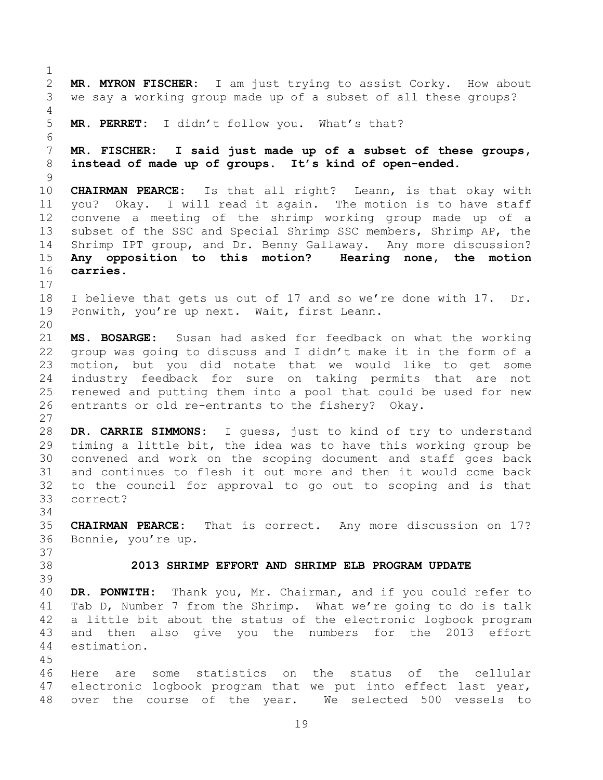**MR. MYRON FISCHER:** I am just trying to assist Corky. How about we say a working group made up of a subset of all these groups? **MR. PERRET:** I didn't follow you. What's that? **MR. FISCHER: I said just made up of a subset of these groups, instead of made up of groups. It's kind of open-ended. CHAIRMAN PEARCE:** Is that all right? Leann, is that okay with you? Okay. I will read it again. The motion is to have staff convene a meeting of the shrimp working group made up of a subset of the SSC and Special Shrimp SSC members, Shrimp AP, the Shrimp IPT group, and Dr. Benny Gallaway. Any more discussion? **Any opposition to this motion? Hearing none, the motion carries.**  I believe that gets us out of 17 and so we're done with 17. Dr. Ponwith, you're up next. Wait, first Leann. **MS. BOSARGE:** Susan had asked for feedback on what the working group was going to discuss and I didn't make it in the form of a motion, but you did notate that we would like to get some industry feedback for sure on taking permits that are not renewed and putting them into a pool that could be used for new entrants or old re-entrants to the fishery? Okay. **DR. CARRIE SIMMONS:** I guess, just to kind of try to understand timing a little bit, the idea was to have this working group be convened and work on the scoping document and staff goes back and continues to flesh it out more and then it would come back to the council for approval to go out to scoping and is that correct? **CHAIRMAN PEARCE:** That is correct. Any more discussion on 17? Bonnie, you're up. **2013 SHRIMP EFFORT AND SHRIMP ELB PROGRAM UPDATE DR. PONWITH:** Thank you, Mr. Chairman, and if you could refer to Tab D, Number 7 from the Shrimp. What we're going to do is talk a little bit about the status of the electronic logbook program and then also give you the numbers for the 2013 effort estimation. Here are some statistics on the status of the cellular electronic logbook program that we put into effect last year, over the course of the year. We selected 500 vessels to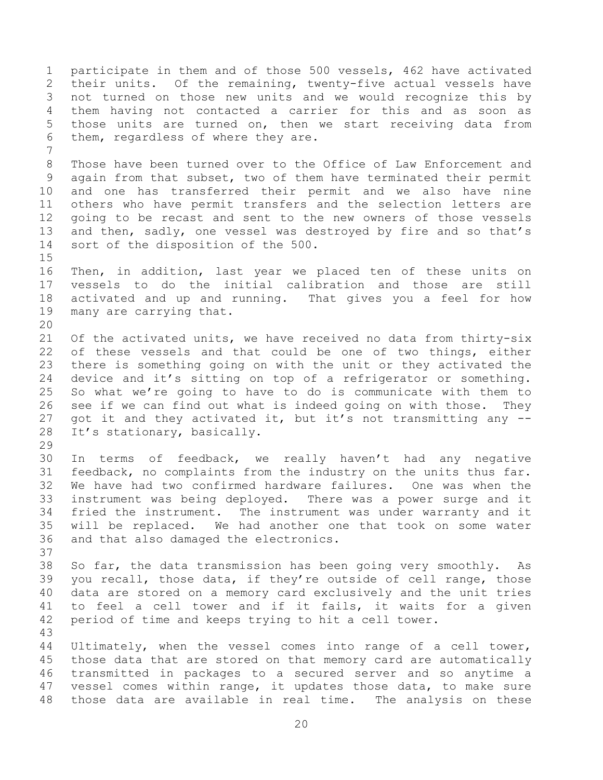participate in them and of those 500 vessels, 462 have activated their units. Of the remaining, twenty-five actual vessels have not turned on those new units and we would recognize this by them having not contacted a carrier for this and as soon as those units are turned on, then we start receiving data from them, regardless of where they are. Those have been turned over to the Office of Law Enforcement and again from that subset, two of them have terminated their permit and one has transferred their permit and we also have nine others who have permit transfers and the selection letters are going to be recast and sent to the new owners of those vessels and then, sadly, one vessel was destroyed by fire and so that's sort of the disposition of the 500. Then, in addition, last year we placed ten of these units on vessels to do the initial calibration and those are still activated and up and running. That gives you a feel for how many are carrying that. Of the activated units, we have received no data from thirty-six of these vessels and that could be one of two things, either there is something going on with the unit or they activated the device and it's sitting on top of a refrigerator or something. So what we're going to have to do is communicate with them to see if we can find out what is indeed going on with those. They got it and they activated it, but it's not transmitting any -- It's stationary, basically. In terms of feedback, we really haven't had any negative feedback, no complaints from the industry on the units thus far. We have had two confirmed hardware failures. One was when the instrument was being deployed. There was a power surge and it fried the instrument. The instrument was under warranty and it will be replaced. We had another one that took on some water and that also damaged the electronics. So far, the data transmission has been going very smoothly. As you recall, those data, if they're outside of cell range, those data are stored on a memory card exclusively and the unit tries to feel a cell tower and if it fails, it waits for a given period of time and keeps trying to hit a cell tower. Ultimately, when the vessel comes into range of a cell tower, those data that are stored on that memory card are automatically transmitted in packages to a secured server and so anytime a vessel comes within range, it updates those data, to make sure those data are available in real time. The analysis on these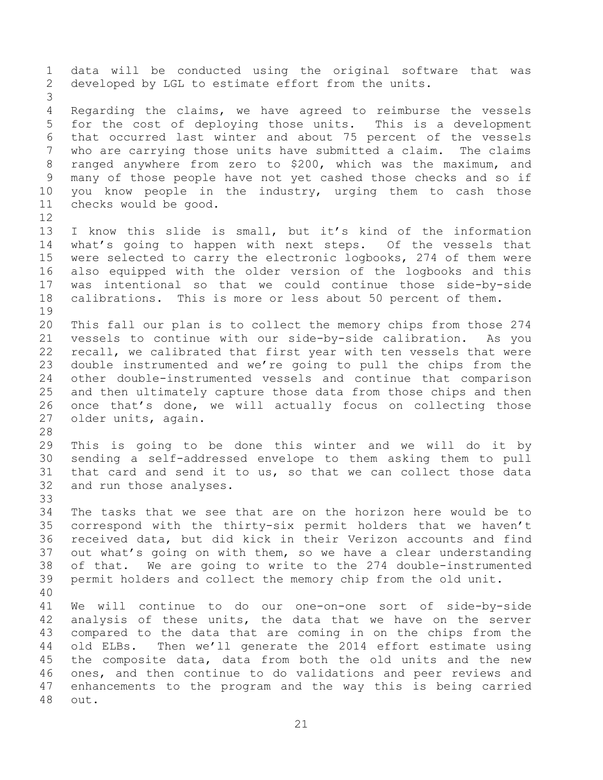data will be conducted using the original software that was developed by LGL to estimate effort from the units. Regarding the claims, we have agreed to reimburse the vessels for the cost of deploying those units. This is a development that occurred last winter and about 75 percent of the vessels who are carrying those units have submitted a claim. The claims ranged anywhere from zero to \$200, which was the maximum, and many of those people have not yet cashed those checks and so if you know people in the industry, urging them to cash those checks would be good. I know this slide is small, but it's kind of the information what's going to happen with next steps. Of the vessels that were selected to carry the electronic logbooks, 274 of them were also equipped with the older version of the logbooks and this was intentional so that we could continue those side-by-side calibrations. This is more or less about 50 percent of them. This fall our plan is to collect the memory chips from those 274 vessels to continue with our side-by-side calibration. As you recall, we calibrated that first year with ten vessels that were double instrumented and we're going to pull the chips from the other double-instrumented vessels and continue that comparison and then ultimately capture those data from those chips and then once that's done, we will actually focus on collecting those older units, again. This is going to be done this winter and we will do it by sending a self-addressed envelope to them asking them to pull that card and send it to us, so that we can collect those data and run those analyses. The tasks that we see that are on the horizon here would be to correspond with the thirty-six permit holders that we haven't received data, but did kick in their Verizon accounts and find out what's going on with them, so we have a clear understanding of that. We are going to write to the 274 double-instrumented permit holders and collect the memory chip from the old unit. We will continue to do our one-on-one sort of side-by-side analysis of these units, the data that we have on the server compared to the data that are coming in on the chips from the old ELBs. Then we'll generate the 2014 effort estimate using the composite data, data from both the old units and the new ones, and then continue to do validations and peer reviews and enhancements to the program and the way this is being carried out.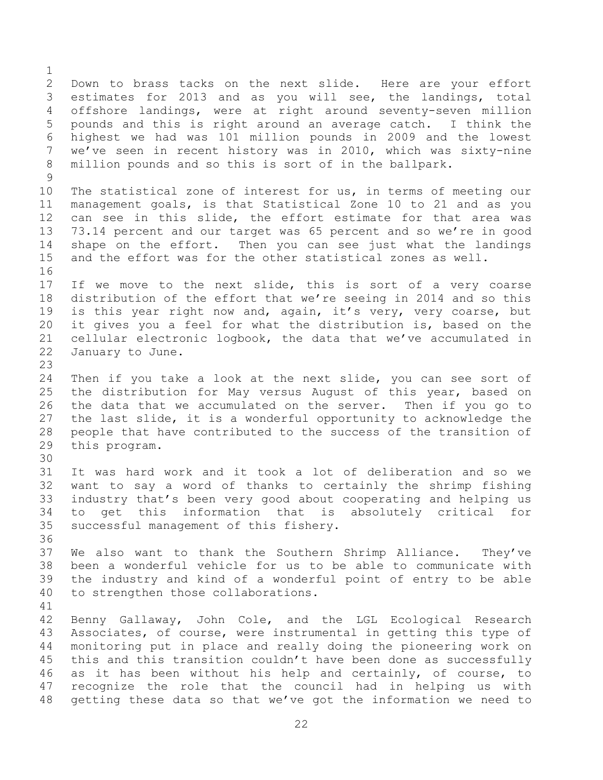Down to brass tacks on the next slide. Here are your effort estimates for 2013 and as you will see, the landings, total offshore landings, were at right around seventy-seven million pounds and this is right around an average catch. I think the highest we had was 101 million pounds in 2009 and the lowest we've seen in recent history was in 2010, which was sixty-nine million pounds and so this is sort of in the ballpark. The statistical zone of interest for us, in terms of meeting our management goals, is that Statistical Zone 10 to 21 and as you can see in this slide, the effort estimate for that area was 73.14 percent and our target was 65 percent and so we're in good shape on the effort. Then you can see just what the landings and the effort was for the other statistical zones as well. If we move to the next slide, this is sort of a very coarse distribution of the effort that we're seeing in 2014 and so this is this year right now and, again, it's very, very coarse, but it gives you a feel for what the distribution is, based on the cellular electronic logbook, the data that we've accumulated in January to June. Then if you take a look at the next slide, you can see sort of the distribution for May versus August of this year, based on the data that we accumulated on the server. Then if you go to the last slide, it is a wonderful opportunity to acknowledge the people that have contributed to the success of the transition of this program. It was hard work and it took a lot of deliberation and so we want to say a word of thanks to certainly the shrimp fishing industry that's been very good about cooperating and helping us to get this information that is absolutely critical for successful management of this fishery. We also want to thank the Southern Shrimp Alliance. They've been a wonderful vehicle for us to be able to communicate with the industry and kind of a wonderful point of entry to be able to strengthen those collaborations. Benny Gallaway, John Cole, and the LGL Ecological Research Associates, of course, were instrumental in getting this type of monitoring put in place and really doing the pioneering work on this and this transition couldn't have been done as successfully as it has been without his help and certainly, of course, to recognize the role that the council had in helping us with getting these data so that we've got the information we need to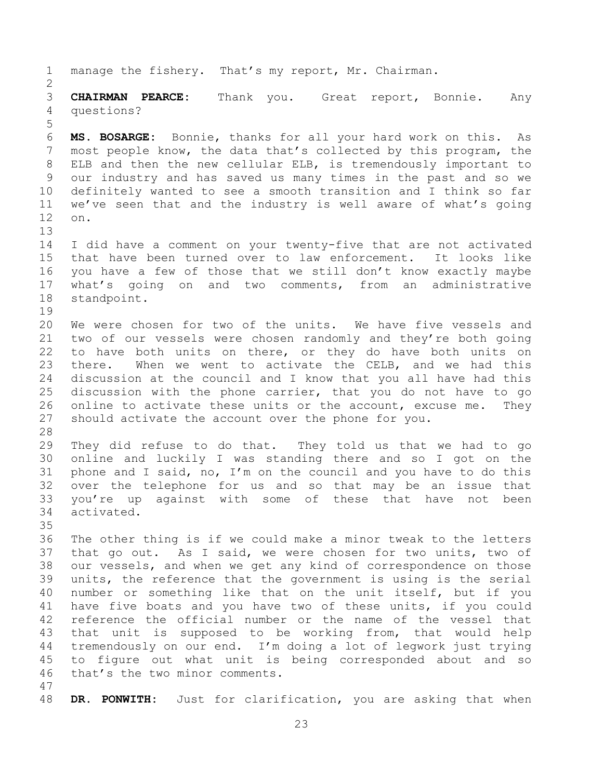manage the fishery. That's my report, Mr. Chairman. **CHAIRMAN PEARCE:** Thank you. Great report, Bonnie. Any questions? **MS. BOSARGE:** Bonnie, thanks for all your hard work on this. As most people know, the data that's collected by this program, the ELB and then the new cellular ELB, is tremendously important to our industry and has saved us many times in the past and so we definitely wanted to see a smooth transition and I think so far we've seen that and the industry is well aware of what's going on. I did have a comment on your twenty-five that are not activated that have been turned over to law enforcement. It looks like you have a few of those that we still don't know exactly maybe what's going on and two comments, from an administrative standpoint. We were chosen for two of the units. We have five vessels and two of our vessels were chosen randomly and they're both going to have both units on there, or they do have both units on there. When we went to activate the CELB, and we had this discussion at the council and I know that you all have had this discussion with the phone carrier, that you do not have to go online to activate these units or the account, excuse me. They should activate the account over the phone for you. They did refuse to do that. They told us that we had to go online and luckily I was standing there and so I got on the phone and I said, no, I'm on the council and you have to do this over the telephone for us and so that may be an issue that you're up against with some of these that have not been activated. The other thing is if we could make a minor tweak to the letters that go out. As I said, we were chosen for two units, two of our vessels, and when we get any kind of correspondence on those units, the reference that the government is using is the serial number or something like that on the unit itself, but if you have five boats and you have two of these units, if you could reference the official number or the name of the vessel that that unit is supposed to be working from, that would help tremendously on our end. I'm doing a lot of legwork just trying to figure out what unit is being corresponded about and so that's the two minor comments. **DR. PONWITH:** Just for clarification, you are asking that when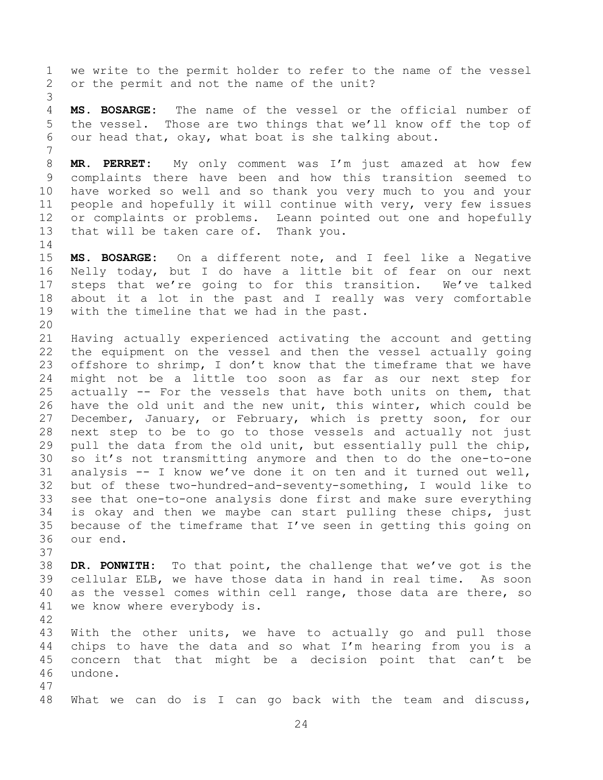we write to the permit holder to refer to the name of the vessel or the permit and not the name of the unit?

 **MS. BOSARGE:** The name of the vessel or the official number of the vessel. Those are two things that we'll know off the top of our head that, okay, what boat is she talking about.

 **MR. PERRET:** My only comment was I'm just amazed at how few complaints there have been and how this transition seemed to have worked so well and so thank you very much to you and your people and hopefully it will continue with very, very few issues or complaints or problems. Leann pointed out one and hopefully that will be taken care of. Thank you.

 **MS. BOSARGE:** On a different note, and I feel like a Negative Nelly today, but I do have a little bit of fear on our next steps that we're going to for this transition. We've talked about it a lot in the past and I really was very comfortable with the timeline that we had in the past.

 Having actually experienced activating the account and getting the equipment on the vessel and then the vessel actually going 23 offshore to shrimp, I don't know that the timeframe that we have might not be a little too soon as far as our next step for actually -- For the vessels that have both units on them, that have the old unit and the new unit, this winter, which could be December, January, or February, which is pretty soon, for our next step to be to go to those vessels and actually not just pull the data from the old unit, but essentially pull the chip, so it's not transmitting anymore and then to do the one-to-one analysis -- I know we've done it on ten and it turned out well, but of these two-hundred-and-seventy-something, I would like to see that one-to-one analysis done first and make sure everything is okay and then we maybe can start pulling these chips, just because of the timeframe that I've seen in getting this going on our end.

 **DR. PONWITH:** To that point, the challenge that we've got is the cellular ELB, we have those data in hand in real time. As soon as the vessel comes within cell range, those data are there, so we know where everybody is.

 With the other units, we have to actually go and pull those chips to have the data and so what I'm hearing from you is a concern that that might be a decision point that can't be undone.

What we can do is I can go back with the team and discuss,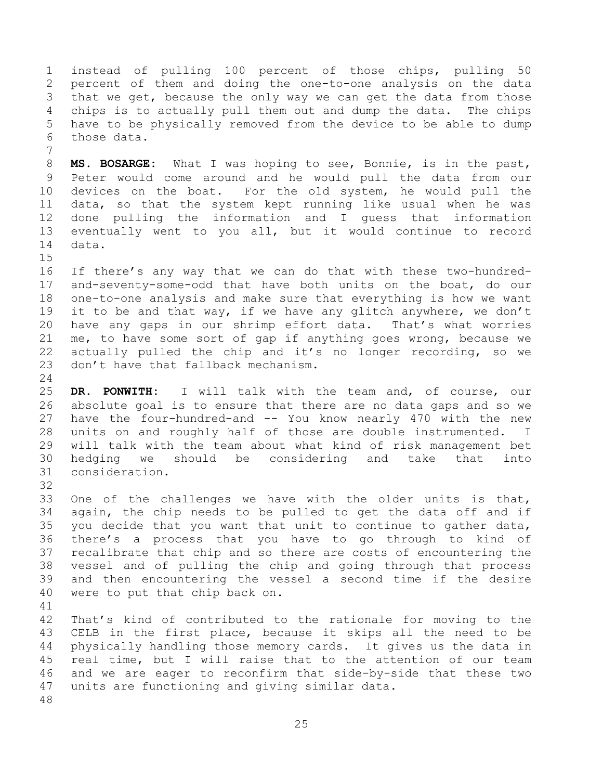instead of pulling 100 percent of those chips, pulling 50 percent of them and doing the one-to-one analysis on the data that we get, because the only way we can get the data from those chips is to actually pull them out and dump the data. The chips have to be physically removed from the device to be able to dump those data.

 **MS. BOSARGE:** What I was hoping to see, Bonnie, is in the past, Peter would come around and he would pull the data from our devices on the boat. For the old system, he would pull the data, so that the system kept running like usual when he was done pulling the information and I guess that information eventually went to you all, but it would continue to record data.

 If there's any way that we can do that with these two-hundred- and-seventy-some-odd that have both units on the boat, do our one-to-one analysis and make sure that everything is how we want it to be and that way, if we have any glitch anywhere, we don't have any gaps in our shrimp effort data. That's what worries me, to have some sort of gap if anything goes wrong, because we actually pulled the chip and it's no longer recording, so we don't have that fallback mechanism.

 **DR. PONWITH:** I will talk with the team and, of course, our absolute goal is to ensure that there are no data gaps and so we have the four-hundred-and -- You know nearly 470 with the new units on and roughly half of those are double instrumented. I will talk with the team about what kind of risk management bet hedging we should be considering and take that into consideration.

 One of the challenges we have with the older units is that, again, the chip needs to be pulled to get the data off and if you decide that you want that unit to continue to gather data, there's a process that you have to go through to kind of recalibrate that chip and so there are costs of encountering the vessel and of pulling the chip and going through that process and then encountering the vessel a second time if the desire were to put that chip back on.

 That's kind of contributed to the rationale for moving to the CELB in the first place, because it skips all the need to be physically handling those memory cards. It gives us the data in real time, but I will raise that to the attention of our team and we are eager to reconfirm that side-by-side that these two units are functioning and giving similar data.